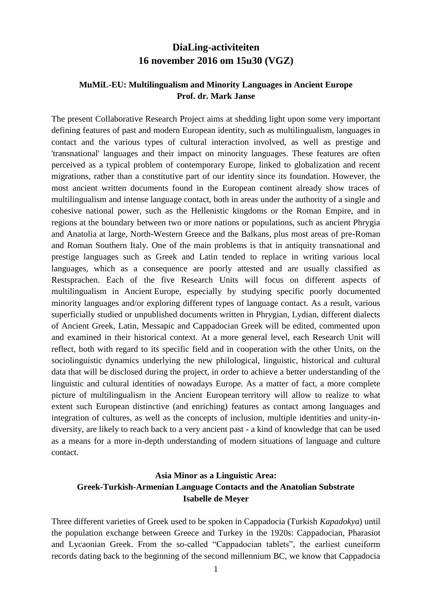# **DiaLing-activiteiten 16 november 2016 om 15u30 (VGZ)**

#### **MuMiL-EU: Multilingualism and Minority Languages in Ancient Europe Prof. dr. Mark Janse**

The present Collaborative Research Project aims at shedding light upon some very important defining features of past and modern European identity, such as multilingualism, languages in contact and the various types of cultural interaction involved, as well as prestige and 'transnational' languages and their impact on minority languages. These features are often perceived as a typical problem of contemporary Europe, linked to globalization and recent migrations, rather than a constitutive part of our identity since its foundation. However, the most ancient written documents found in the European continent already show traces of multilingualism and intense language contact, both in areas under the authority of a single and cohesive national power, such as the Hellenistic kingdoms or the Roman Empire, and in regions at the boundary between two or more nations or populations, such as ancient Phrygia and Anatolia at large, North-Western Greece and the Balkans, plus most areas of pre-Roman and Roman Southern Italy. One of the main problems is that in antiquity transnational and prestige languages such as Greek and Latin tended to replace in writing various local languages, which as a consequence are poorly attested and are usually classified as Restsprachen. Each of the five Research Units will focus on different aspects of multilingualism in Ancient Europe, especially by studying specific poorly documented minority languages and/or exploring different types of language contact. As a result, various superficially studied or unpublished documents written in Phrygian, Lydian, different dialects of Ancient Greek, Latin, Messapic and Cappadocian Greek will be edited, commented upon and examined in their historical context. At a more general level, each Research Unit will reflect, both with regard to its specific field and in cooperation with the other Units, on the sociolinguistic dynamics underlying the new philological, linguistic, historical and cultural data that will be disclosed during the project, in order to achieve a better understanding of the linguistic and cultural identities of nowadays Europe. As a matter of fact, a more complete picture of multilingualism in the Ancient European territory will allow to realize to what extent such European distinctive (and enriching) features as contact among languages and integration of cultures, as well as the concepts of inclusion, multiple identities and unity-indiversity, are likely to reach back to a very ancient past - a kind of knowledge that can be used as a means for a more in-depth understanding of modern situations of language and culture contact.

### **Asia Minor as a Linguistic Area: Greek-Turkish-Armenian Language Contacts and the Anatolian Substrate Isabelle de Meyer**

Three different varieties of Greek used to be spoken in Cappadocia (Turkish *Kapadokya*) until the population exchange between Greece and Turkey in the 1920s: Cappadocian, Pharasiot and Lycaonian Greek. From the so-called "Cappadocian tablets", the earliest cuneiform records dating back to the beginning of the second millennium BC, we know that Cappadocia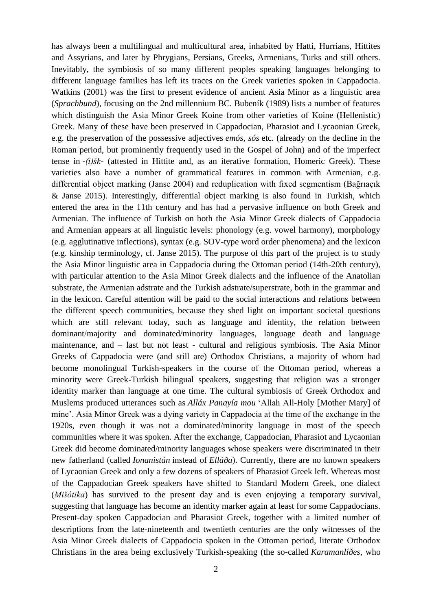has always been a multilingual and multicultural area, inhabited by Hatti, Hurrians, Hittites and Assyrians, and later by Phrygians, Persians, Greeks, Armenians, Turks and still others. Inevitably, the symbiosis of so many different peoples speaking languages belonging to different language families has left its traces on the Greek varieties spoken in Cappadocia. Watkins (2001) was the first to present evidence of ancient Asia Minor as a linguistic area (*Sprachbund*), focusing on the 2nd millennium BC. Bubeník (1989) lists a number of features which distinguish the Asia Minor Greek Koine from other varieties of Koine (Hellenistic) Greek. Many of these have been preserved in Cappadocian, Pharasiot and Lycaonian Greek, e.g. the preservation of the possessive adjectives *emós, sós* etc. (already on the decline in the Roman period, but prominently frequently used in the Gospel of John) and of the imperfect tense in *-(i)šk*- (attested in Hittite and, as an iterative formation, Homeric Greek). These varieties also have a number of grammatical features in common with Armenian, e.g. differential object marking (Janse 2004) and reduplication with fixed segmentism (Bağrıaçık & Janse 2015). Interestingly, differential object marking is also found in Turkish, which entered the area in the 11th century and has had a pervasive influence on both Greek and Armenian. The influence of Turkish on both the Asia Minor Greek dialects of Cappadocia and Armenian appears at all linguistic levels: phonology (e.g. vowel harmony), morphology (e.g. agglutinative inflections), syntax (e.g. SOV-type word order phenomena) and the lexicon (e.g. kinship terminology, cf. Janse 2015). The purpose of this part of the project is to study the Asia Minor linguistic area in Cappadocia during the Ottoman period (14th-20th century), with particular attention to the Asia Minor Greek dialects and the influence of the Anatolian substrate, the Armenian adstrate and the Turkish adstrate/superstrate, both in the grammar and in the lexicon. Careful attention will be paid to the social interactions and relations between the different speech communities, because they shed light on important societal questions which are still relevant today, such as language and identity, the relation between dominant/majority and dominated/minority languages, language death and language maintenance, and – last but not least - cultural and religious symbiosis. The Asia Minor Greeks of Cappadocia were (and still are) Orthodox Christians, a majority of whom had become monolingual Turkish-speakers in the course of the Ottoman period, whereas a minority were Greek-Turkish bilingual speakers, suggesting that religion was a stronger identity marker than language at one time. The cultural symbiosis of Greek Orthodox and Muslems produced utterances such as *Alláx Panayía mou* 'Allah All-Holy [Mother Mary] of mine'. Asia Minor Greek was a dying variety in Cappadocia at the time of the exchange in the 1920s, even though it was not a dominated/minority language in most of the speech communities where it was spoken. After the exchange, Cappadocian, Pharasiot and Lycaonian Greek did become dominated/minority languages whose speakers were discriminated in their new fatherland (called *Ionanistán* instead of *Elláða*). Currently, there are no known speakers of Lycaonian Greek and only a few dozens of speakers of Pharasiot Greek left. Whereas most of the Cappadocian Greek speakers have shifted to Standard Modern Greek, one dialect (*Mišótika*) has survived to the present day and is even enjoying a temporary survival, suggesting that language has become an identity marker again at least for some Cappadocians. Present-day spoken Cappadocian and Pharasiot Greek, together with a limited number of descriptions from the late-nineteenth and twentieth centuries are the only witnesses of the Asia Minor Greek dialects of Cappadocia spoken in the Ottoman period, literate Orthodox Christians in the area being exclusively Turkish-speaking (the so-called *Karamanlíðes*, who